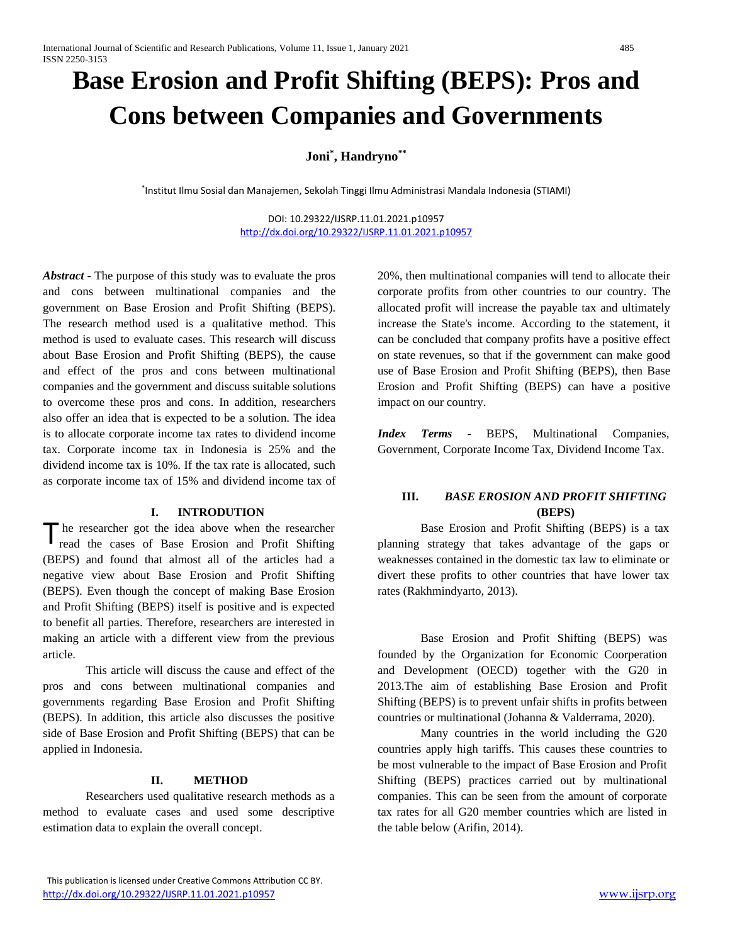# **Base Erosion and Profit Shifting (BEPS): Pros and Cons between Companies and Governments**

## **Joni\* , Handryno\*\***

\* Institut Ilmu Sosial dan Manajemen, Sekolah Tinggi Ilmu Administrasi Mandala Indonesia (STIAMI)

DOI: 10.29322/IJSRP.11.01.2021.p10957 <http://dx.doi.org/10.29322/IJSRP.11.01.2021.p10957>

*Abstract* - The purpose of this study was to evaluate the pros and cons between multinational companies and the government on Base Erosion and Profit Shifting (BEPS). The research method used is a qualitative method. This method is used to evaluate cases. This research will discuss about Base Erosion and Profit Shifting (BEPS), the cause and effect of the pros and cons between multinational companies and the government and discuss suitable solutions to overcome these pros and cons. In addition, researchers also offer an idea that is expected to be a solution. The idea is to allocate corporate income tax rates to dividend income tax. Corporate income tax in Indonesia is 25% and the dividend income tax is 10%. If the tax rate is allocated, such as corporate income tax of 15% and dividend income tax of

#### **I. INTRODUTION**

he researcher got the idea above when the researcher read the cases of Base Erosion and Profit Shifting (BEPS) and found that almost all of the articles had a negative view about Base Erosion and Profit Shifting (BEPS). Even though the concept of making Base Erosion and Profit Shifting (BEPS) itself is positive and is expected to benefit all parties. Therefore, researchers are interested in making an article with a different view from the previous article. T

This article will discuss the cause and effect of the pros and cons between multinational companies and governments regarding Base Erosion and Profit Shifting (BEPS). In addition, this article also discusses the positive side of Base Erosion and Profit Shifting (BEPS) that can be applied in Indonesia.

#### **II. METHOD**

Researchers used qualitative research methods as a method to evaluate cases and used some descriptive estimation data to explain the overall concept.

20%, then multinational companies will tend to allocate their corporate profits from other countries to our country. The allocated profit will increase the payable tax and ultimately increase the State's income. According to the statement, it can be concluded that company profits have a positive effect on state revenues, so that if the government can make good use of Base Erosion and Profit Shifting (BEPS), then Base Erosion and Profit Shifting (BEPS) can have a positive impact on our country.

*Index Terms* - BEPS, Multinational Companies, Government, Corporate Income Tax, Dividend Income Tax.

#### **III.** *BASE EROSION AND PROFIT SHIFTING* **(BEPS)**

Base Erosion and Profit Shifting (BEPS) is a tax planning strategy that takes advantage of the gaps or weaknesses contained in the domestic tax law to eliminate or divert these profits to other countries that have lower tax rates (Rakhmindyarto, 2013).

Base Erosion and Profit Shifting (BEPS) was founded by the Organization for Economic Coorperation and Development (OECD) together with the G20 in 2013.The aim of establishing Base Erosion and Profit Shifting (BEPS) is to prevent unfair shifts in profits between countries or multinational (Johanna & Valderrama, 2020).

Many countries in the world including the G20 countries apply high tariffs. This causes these countries to be most vulnerable to the impact of Base Erosion and Profit Shifting (BEPS) practices carried out by multinational companies. This can be seen from the amount of corporate tax rates for all G20 member countries which are listed in the table below (Arifin, 2014).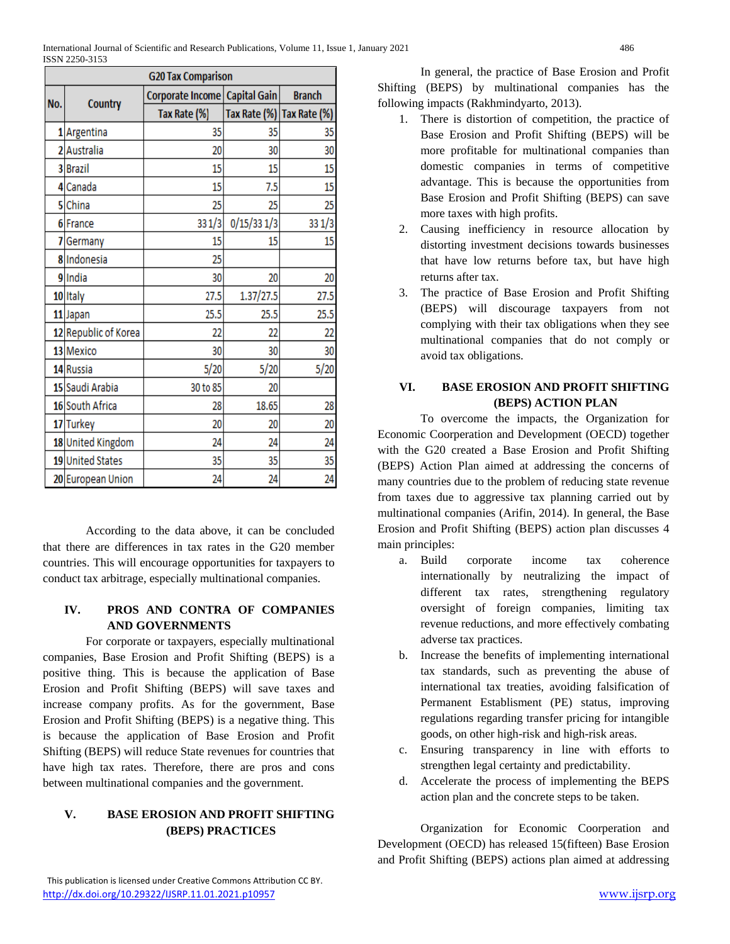| <b>G20 Tax Comparison</b> |                      |                                 |              |               |  |
|---------------------------|----------------------|---------------------------------|--------------|---------------|--|
| No.                       | <b>Country</b>       | Corporate Income   Capital Gain |              | <b>Branch</b> |  |
|                           |                      | Tax Rate (%)                    | Tax Rate (%) | Tax Rate (%)  |  |
|                           | 1 Argentina          | 35                              | 35           | 35            |  |
|                           | 2 Australia          | 20                              | 30           | 30            |  |
|                           | 3 Brazil             | 15                              | 15           | 15            |  |
|                           | 4 Canada             | 15                              | 7.5          | 15            |  |
|                           | 5 China              | 25                              | 25           | 25            |  |
|                           | 6 France             | 331/3                           | 0/15/331/3   | 331/3         |  |
| 7                         | Germany              | 15                              | 15           | 15            |  |
|                           | 8 Indonesia          | 25                              |              |               |  |
|                           | 9lIndia              | 30                              | 20           | 20            |  |
|                           | 10 Italy             | 27.5                            | 1.37/27.5    | 27.5          |  |
|                           | 11 Japan             | 25.5                            | 25.5         | 25.5          |  |
|                           | 12 Republic of Korea | 22                              | 22           | 22            |  |
|                           | 13 Mexico            | 30                              | 30           | 30            |  |
|                           | 14 Russia            | 5/20                            | 5/20         | 5/20          |  |
|                           | 15 Saudi Arabia      | 30 to 85                        | 20           |               |  |
|                           | 16 South Africa      | 28                              | 18.65        | 28            |  |
|                           | 17 Turkey            | 20                              | 20           | 20            |  |
|                           | 18 United Kingdom    | 24                              | 24           | 24            |  |
|                           | 19 United States     | 35                              | 35           | 35            |  |
|                           | 20 European Union    | 24                              | 24           | 24            |  |

According to the data above, it can be concluded that there are differences in tax rates in the G20 member countries. This will encourage opportunities for taxpayers to conduct tax arbitrage, especially multinational companies.

#### **IV. PROS AND CONTRA OF COMPANIES AND GOVERNMENTS**

For corporate or taxpayers, especially multinational companies, Base Erosion and Profit Shifting (BEPS) is a positive thing. This is because the application of Base Erosion and Profit Shifting (BEPS) will save taxes and increase company profits. As for the government, Base Erosion and Profit Shifting (BEPS) is a negative thing. This is because the application of Base Erosion and Profit Shifting (BEPS) will reduce State revenues for countries that have high tax rates. Therefore, there are pros and cons between multinational companies and the government.

## **V. BASE EROSION AND PROFIT SHIFTING (BEPS) PRACTICES**

In general, the practice of Base Erosion and Profit Shifting (BEPS) by multinational companies has the following impacts (Rakhmindyarto, 2013).

- 1. There is distortion of competition, the practice of Base Erosion and Profit Shifting (BEPS) will be more profitable for multinational companies than domestic companies in terms of competitive advantage. This is because the opportunities from Base Erosion and Profit Shifting (BEPS) can save more taxes with high profits.
- 2. Causing inefficiency in resource allocation by distorting investment decisions towards businesses that have low returns before tax, but have high returns after tax.
- 3. The practice of Base Erosion and Profit Shifting (BEPS) will discourage taxpayers from not complying with their tax obligations when they see multinational companies that do not comply or avoid tax obligations.

## **VI. BASE EROSION AND PROFIT SHIFTING (BEPS) ACTION PLAN**

To overcome the impacts, the Organization for Economic Coorperation and Development (OECD) together with the G20 created a Base Erosion and Profit Shifting (BEPS) Action Plan aimed at addressing the concerns of many countries due to the problem of reducing state revenue from taxes due to aggressive tax planning carried out by multinational companies (Arifin, 2014). In general, the Base Erosion and Profit Shifting (BEPS) action plan discusses 4 main principles:

- a. Build corporate income tax coherence internationally by neutralizing the impact of different tax rates, strengthening regulatory oversight of foreign companies, limiting tax revenue reductions, and more effectively combating adverse tax practices.
- b. Increase the benefits of implementing international tax standards, such as preventing the abuse of international tax treaties, avoiding falsification of Permanent Establisment (PE) status, improving regulations regarding transfer pricing for intangible goods, on other high-risk and high-risk areas.
- c. Ensuring transparency in line with efforts to strengthen legal certainty and predictability.
- d. Accelerate the process of implementing the BEPS action plan and the concrete steps to be taken.

Organization for Economic Coorperation and Development (OECD) has released 15(fifteen) Base Erosion and Profit Shifting (BEPS) actions plan aimed at addressing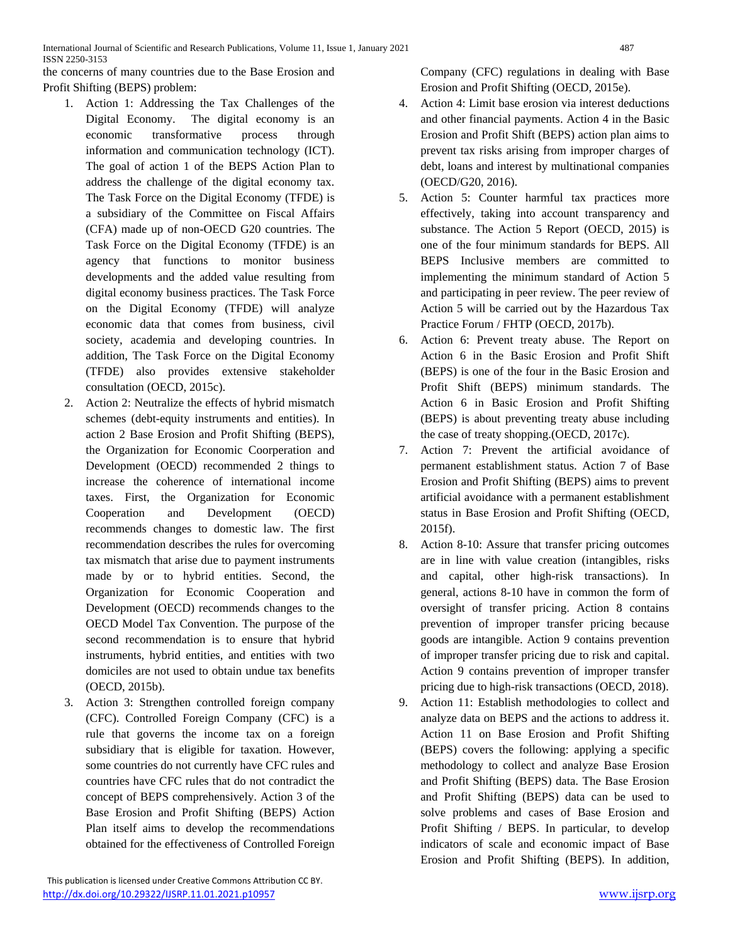the concerns of many countries due to the Base Erosion and Profit Shifting (BEPS) problem:

- 1. Action 1: Addressing the Tax Challenges of the Digital Economy. The digital economy is an economic transformative process through information and communication technology (ICT). The goal of action 1 of the BEPS Action Plan to address the challenge of the digital economy tax. The Task Force on the Digital Economy (TFDE) is a subsidiary of the Committee on Fiscal Affairs (CFA) made up of non-OECD G20 countries. The Task Force on the Digital Economy (TFDE) is an agency that functions to monitor business developments and the added value resulting from digital economy business practices. The Task Force on the Digital Economy (TFDE) will analyze economic data that comes from business, civil society, academia and developing countries. In addition, The Task Force on the Digital Economy (TFDE) also provides extensive stakeholder consultation (OECD, 2015c).
- 2. Action 2: Neutralize the effects of hybrid mismatch schemes (debt-equity instruments and entities). In action 2 Base Erosion and Profit Shifting (BEPS), the Organization for Economic Coorperation and Development (OECD) recommended 2 things to increase the coherence of international income taxes. First, the Organization for Economic Cooperation and Development (OECD) recommends changes to domestic law. The first recommendation describes the rules for overcoming tax mismatch that arise due to payment instruments made by or to hybrid entities. Second, the Organization for Economic Cooperation and Development (OECD) recommends changes to the OECD Model Tax Convention. The purpose of the second recommendation is to ensure that hybrid instruments, hybrid entities, and entities with two domiciles are not used to obtain undue tax benefits (OECD, 2015b).
- 3. Action 3: Strengthen controlled foreign company (CFC). Controlled Foreign Company (CFC) is a rule that governs the income tax on a foreign subsidiary that is eligible for taxation. However, some countries do not currently have CFC rules and countries have CFC rules that do not contradict the concept of BEPS comprehensively. Action 3 of the Base Erosion and Profit Shifting (BEPS) Action Plan itself aims to develop the recommendations obtained for the effectiveness of Controlled Foreign

Company (CFC) regulations in dealing with Base Erosion and Profit Shifting (OECD, 2015e).

- 4. Action 4: Limit base erosion via interest deductions and other financial payments. Action 4 in the Basic Erosion and Profit Shift (BEPS) action plan aims to prevent tax risks arising from improper charges of debt, loans and interest by multinational companies (OECD/G20, 2016).
- 5. Action 5: Counter harmful tax practices more effectively, taking into account transparency and substance. The Action 5 Report (OECD, 2015) is one of the four minimum standards for BEPS. All BEPS Inclusive members are committed to implementing the minimum standard of Action 5 and participating in peer review. The peer review of Action 5 will be carried out by the Hazardous Tax Practice Forum / FHTP (OECD, 2017b).
- 6. Action 6: Prevent treaty abuse. The Report on Action 6 in the Basic Erosion and Profit Shift (BEPS) is one of the four in the Basic Erosion and Profit Shift (BEPS) minimum standards. The Action 6 in Basic Erosion and Profit Shifting (BEPS) is about preventing treaty abuse including the case of treaty shopping.(OECD, 2017c).
- 7. Action 7: Prevent the artificial avoidance of permanent establishment status. Action 7 of Base Erosion and Profit Shifting (BEPS) aims to prevent artificial avoidance with a permanent establishment status in Base Erosion and Profit Shifting (OECD, 2015f).
- 8. Action 8-10: Assure that transfer pricing outcomes are in line with value creation (intangibles, risks and capital, other high-risk transactions). In general, actions 8-10 have in common the form of oversight of transfer pricing. Action 8 contains prevention of improper transfer pricing because goods are intangible. Action 9 contains prevention of improper transfer pricing due to risk and capital. Action 9 contains prevention of improper transfer pricing due to high-risk transactions (OECD, 2018).
- 9. Action 11: Establish methodologies to collect and analyze data on BEPS and the actions to address it. Action 11 on Base Erosion and Profit Shifting (BEPS) covers the following: applying a specific methodology to collect and analyze Base Erosion and Profit Shifting (BEPS) data. The Base Erosion and Profit Shifting (BEPS) data can be used to solve problems and cases of Base Erosion and Profit Shifting / BEPS. In particular, to develop indicators of scale and economic impact of Base Erosion and Profit Shifting (BEPS). In addition,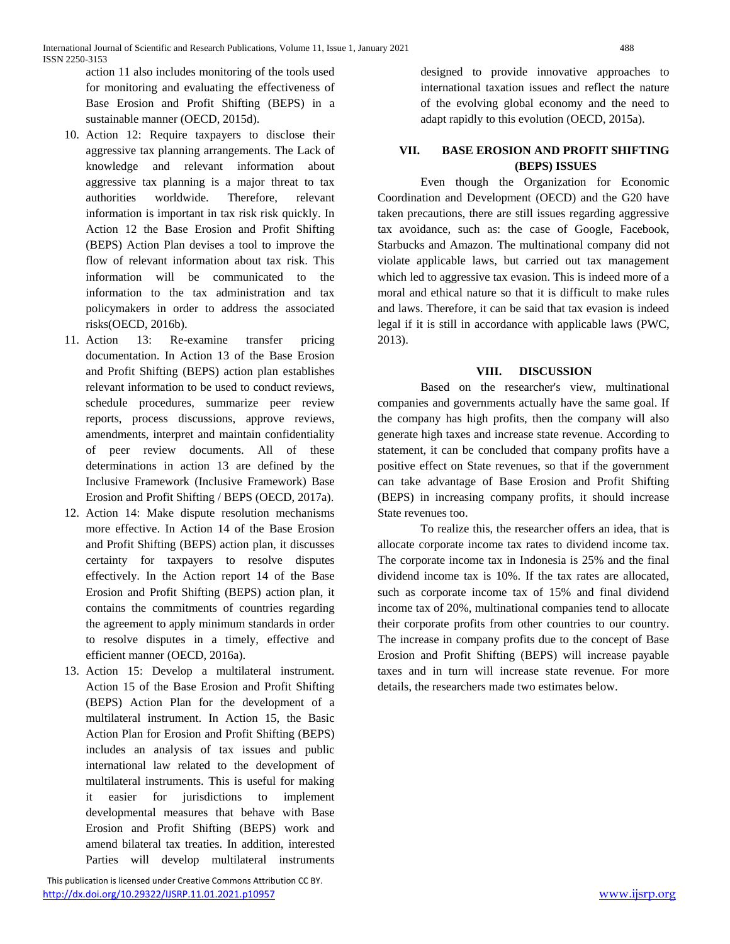International Journal of Scientific and Research Publications, Volume 11, Issue 1, January 2021 488 ISSN 2250-3153

action 11 also includes monitoring of the tools used for monitoring and evaluating the effectiveness of Base Erosion and Profit Shifting (BEPS) in a sustainable manner (OECD, 2015d).

- 10. Action 12: Require taxpayers to disclose their aggressive tax planning arrangements. The Lack of knowledge and relevant information about aggressive tax planning is a major threat to tax authorities worldwide. Therefore, relevant information is important in tax risk risk quickly. In Action 12 the Base Erosion and Profit Shifting (BEPS) Action Plan devises a tool to improve the flow of relevant information about tax risk. This information will be communicated to the information to the tax administration and tax policymakers in order to address the associated risks(OECD, 2016b).
- 11. Action 13: Re-examine transfer pricing documentation. In Action 13 of the Base Erosion and Profit Shifting (BEPS) action plan establishes relevant information to be used to conduct reviews, schedule procedures, summarize peer review reports, process discussions, approve reviews, amendments, interpret and maintain confidentiality of peer review documents. All of these determinations in action 13 are defined by the Inclusive Framework (Inclusive Framework) Base Erosion and Profit Shifting / BEPS (OECD, 2017a).
- 12. Action 14: Make dispute resolution mechanisms more effective. In Action 14 of the Base Erosion and Profit Shifting (BEPS) action plan, it discusses certainty for taxpayers to resolve disputes effectively. In the Action report 14 of the Base Erosion and Profit Shifting (BEPS) action plan, it contains the commitments of countries regarding the agreement to apply minimum standards in order to resolve disputes in a timely, effective and efficient manner (OECD, 2016a).
- 13. Action 15: Develop a multilateral instrument. Action 15 of the Base Erosion and Profit Shifting (BEPS) Action Plan for the development of a multilateral instrument. In Action 15, the Basic Action Plan for Erosion and Profit Shifting (BEPS) includes an analysis of tax issues and public international law related to the development of multilateral instruments. This is useful for making it easier for jurisdictions to implement developmental measures that behave with Base Erosion and Profit Shifting (BEPS) work and amend bilateral tax treaties. In addition, interested Parties will develop multilateral instruments

 This publication is licensed under Creative Commons Attribution CC BY. <http://dx.doi.org/10.29322/IJSRP.11.01.2021.p10957> [www.ijsrp.org](http://ijsrp.org/)

designed to provide innovative approaches to international taxation issues and reflect the nature of the evolving global economy and the need to adapt rapidly to this evolution (OECD, 2015a).

#### **VII. BASE EROSION AND PROFIT SHIFTING (BEPS) ISSUES**

Even though the Organization for Economic Coordination and Development (OECD) and the G20 have taken precautions, there are still issues regarding aggressive tax avoidance, such as: the case of Google, Facebook, Starbucks and Amazon. The multinational company did not violate applicable laws, but carried out tax management which led to aggressive tax evasion. This is indeed more of a moral and ethical nature so that it is difficult to make rules and laws. Therefore, it can be said that tax evasion is indeed legal if it is still in accordance with applicable laws (PWC, 2013).

#### **VIII. DISCUSSION**

Based on the researcher's view, multinational companies and governments actually have the same goal. If the company has high profits, then the company will also generate high taxes and increase state revenue. According to statement, it can be concluded that company profits have a positive effect on State revenues, so that if the government can take advantage of Base Erosion and Profit Shifting (BEPS) in increasing company profits, it should increase State revenues too.

To realize this, the researcher offers an idea, that is allocate corporate income tax rates to dividend income tax. The corporate income tax in Indonesia is 25% and the final dividend income tax is 10%. If the tax rates are allocated, such as corporate income tax of 15% and final dividend income tax of 20%, multinational companies tend to allocate their corporate profits from other countries to our country. The increase in company profits due to the concept of Base Erosion and Profit Shifting (BEPS) will increase payable taxes and in turn will increase state revenue. For more details, the researchers made two estimates below.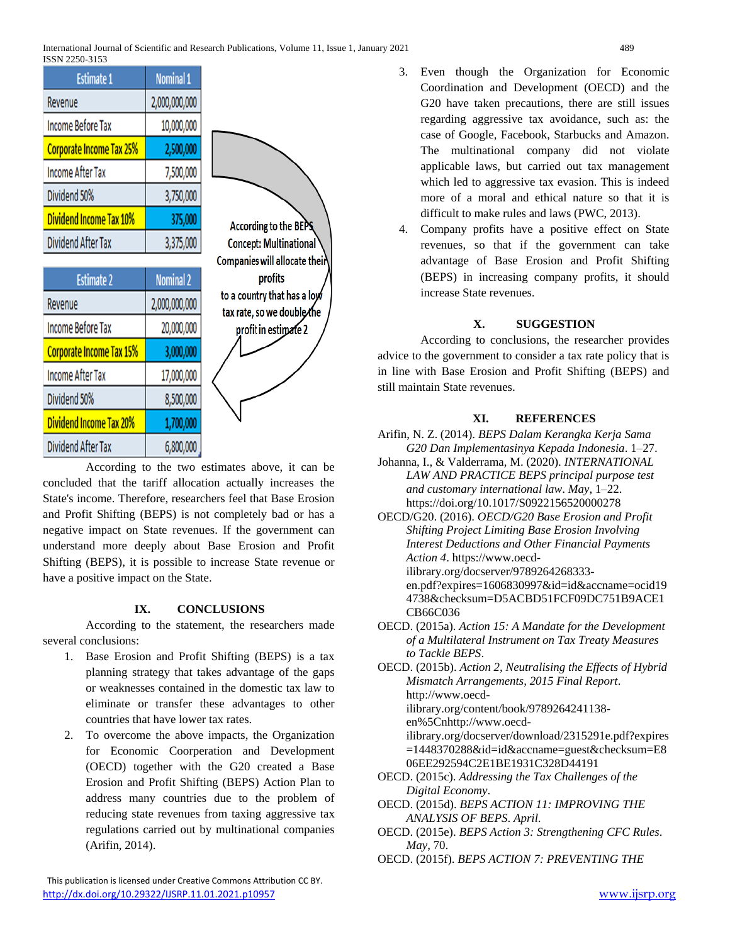| <b>Estimate 1</b>               | <b>Nominal 1</b> |  |  |
|---------------------------------|------------------|--|--|
| Revenue                         | 2,000,000,000    |  |  |
| <b>Income Before Tax</b>        | 10,000,000       |  |  |
| <b>Corporate Income Tax 25%</b> | 2,500,000        |  |  |
| <b>Income After Tax</b>         | 7,500,000        |  |  |
| Dividend 50%                    | 3,750,000        |  |  |
| <b>Dividend Income Tax 10%</b>  | 375,000          |  |  |
| Dividend After Tax              | 3,375,000        |  |  |

| <b>Estimate 2</b>               | <b>Nominal 2</b> |  |
|---------------------------------|------------------|--|
| Revenue                         | 2,000,000,000    |  |
| <b>Income Before Tax</b>        | 20,000,000       |  |
| <b>Corporate Income Tax 15%</b> | 3,000,000        |  |
| <b>Income After Tax</b>         | 17,000,000       |  |
| Dividend 50%                    | 8,500,000        |  |
| <b>Dividend Income Tax 20%</b>  | 1,700,000        |  |
| <b>Dividend After Tax</b>       | 6,800,000        |  |

According to the BEPS **Concept: Multinational** Companies will allocate their profits to a country that has a low tax rate, so we double the profit in estimate 2

According to the two estimates above, it can be concluded that the tariff allocation actually increases the State's income. Therefore, researchers feel that Base Erosion and Profit Shifting (BEPS) is not completely bad or has a negative impact on State revenues. If the government can understand more deeply about Base Erosion and Profit Shifting (BEPS), it is possible to increase State revenue or have a positive impact on the State.

## **IX. CONCLUSIONS**

According to the statement, the researchers made several conclusions:

- 1. Base Erosion and Profit Shifting (BEPS) is a tax planning strategy that takes advantage of the gaps or weaknesses contained in the domestic tax law to eliminate or transfer these advantages to other countries that have lower tax rates.
- 2. To overcome the above impacts, the Organization for Economic Coorperation and Development (OECD) together with the G20 created a Base Erosion and Profit Shifting (BEPS) Action Plan to address many countries due to the problem of reducing state revenues from taxing aggressive tax regulations carried out by multinational companies (Arifin, 2014).

3. Even though the Organization for Economic Coordination and Development (OECD) and the G20 have taken precautions, there are still issues regarding aggressive tax avoidance, such as: the case of Google, Facebook, Starbucks and Amazon. The multinational company did not violate applicable laws, but carried out tax management which led to aggressive tax evasion. This is indeed more of a moral and ethical nature so that it is difficult to make rules and laws (PWC, 2013).

4. Company profits have a positive effect on State revenues, so that if the government can take advantage of Base Erosion and Profit Shifting (BEPS) in increasing company profits, it should increase State revenues.

### **X. SUGGESTION**

According to conclusions, the researcher provides advice to the government to consider a tax rate policy that is in line with Base Erosion and Profit Shifting (BEPS) and still maintain State revenues.

## **XI. REFERENCES**

Arifin, N. Z. (2014). *BEPS Dalam Kerangka Kerja Sama G20 Dan Implementasinya Kepada Indonesia*. 1–27.

Johanna, I., & Valderrama, M. (2020). *INTERNATIONAL LAW AND PRACTICE BEPS principal purpose test and customary international law*. *May*, 1–22. https://doi.org/10.1017/S0922156520000278

OECD/G20. (2016). *OECD/G20 Base Erosion and Profit Shifting Project Limiting Base Erosion Involving Interest Deductions and Other Financial Payments Action 4*. https://www.oecdilibrary.org/docserver/9789264268333 en.pdf?expires=1606830997&id=id&accname=ocid19 4738&checksum=D5ACBD51FCF09DC751B9ACE1

- CB66C036
- OECD. (2015a). *Action 15: A Mandate for the Development of a Multilateral Instrument on Tax Treaty Measures to Tackle BEPS*.

OECD. (2015b). *Action 2, Neutralising the Effects of Hybrid Mismatch Arrangements, 2015 Final Report*. http://www.oecd-

ilibrary.org/content/book/9789264241138 en%5Cnhttp://www.oecd-

ilibrary.org/docserver/download/2315291e.pdf?expires =1448370288&id=id&accname=guest&checksum=E8 06EE292594C2E1BE1931C328D44191

- OECD. (2015c). *Addressing the Tax Challenges of the Digital Economy*.
- OECD. (2015d). *BEPS ACTION 11: IMPROVING THE ANALYSIS OF BEPS*. *April*.
- OECD. (2015e). *BEPS Action 3: Strengthening CFC Rules*. *May*, 70.
- OECD. (2015f). *BEPS ACTION 7: PREVENTING THE*

 This publication is licensed under Creative Commons Attribution CC BY. <http://dx.doi.org/10.29322/IJSRP.11.01.2021.p10957> [www.ijsrp.org](http://ijsrp.org/)